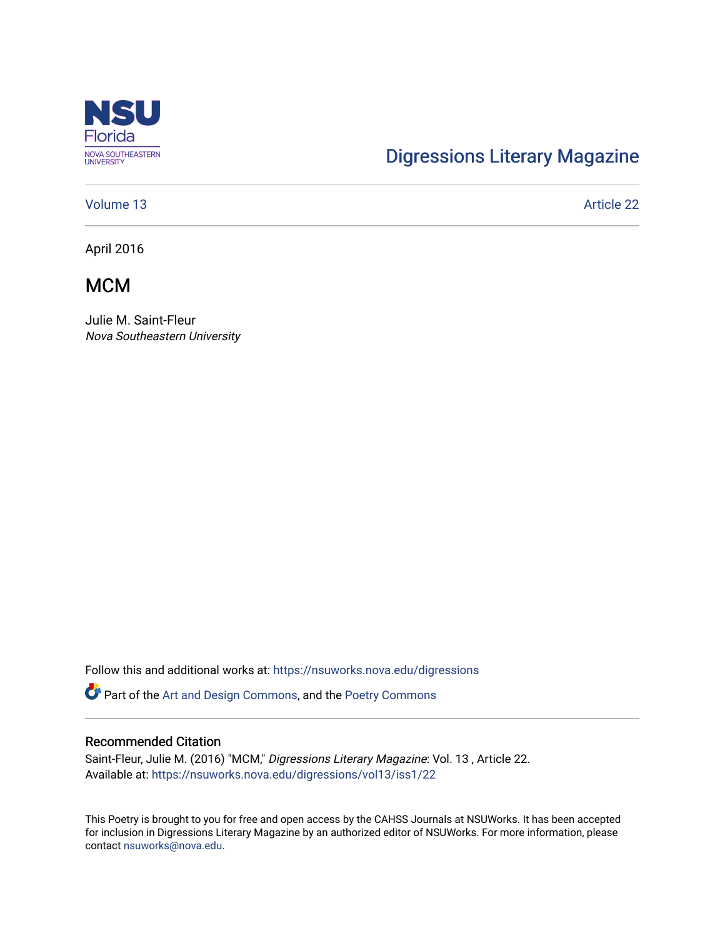

# [Digressions Literary Magazine](https://nsuworks.nova.edu/digressions)

### [Volume 13](https://nsuworks.nova.edu/digressions/vol13) Article 22

April 2016

**MCM** 

Julie M. Saint-Fleur Nova Southeastern University

Follow this and additional works at: [https://nsuworks.nova.edu/digressions](https://nsuworks.nova.edu/digressions?utm_source=nsuworks.nova.edu%2Fdigressions%2Fvol13%2Fiss1%2F22&utm_medium=PDF&utm_campaign=PDFCoverPages) 

Part of the [Art and Design Commons](http://network.bepress.com/hgg/discipline/1049?utm_source=nsuworks.nova.edu%2Fdigressions%2Fvol13%2Fiss1%2F22&utm_medium=PDF&utm_campaign=PDFCoverPages), and the [Poetry Commons](http://network.bepress.com/hgg/discipline/1153?utm_source=nsuworks.nova.edu%2Fdigressions%2Fvol13%2Fiss1%2F22&utm_medium=PDF&utm_campaign=PDFCoverPages) 

### Recommended Citation

Saint-Fleur, Julie M. (2016) "MCM," Digressions Literary Magazine: Vol. 13 , Article 22. Available at: [https://nsuworks.nova.edu/digressions/vol13/iss1/22](https://nsuworks.nova.edu/digressions/vol13/iss1/22?utm_source=nsuworks.nova.edu%2Fdigressions%2Fvol13%2Fiss1%2F22&utm_medium=PDF&utm_campaign=PDFCoverPages)

This Poetry is brought to you for free and open access by the CAHSS Journals at NSUWorks. It has been accepted for inclusion in Digressions Literary Magazine by an authorized editor of NSUWorks. For more information, please contact [nsuworks@nova.edu.](mailto:nsuworks@nova.edu)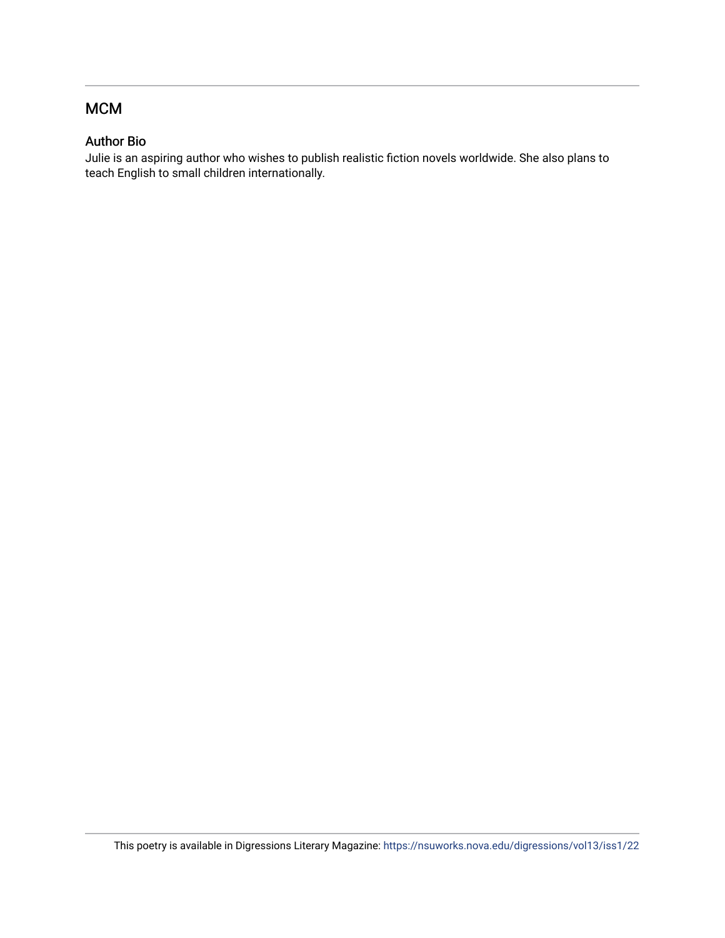## MCM

### Author Bio

Julie is an aspiring author who wishes to publish realistic fiction novels worldwide. She also plans to teach English to small children internationally.